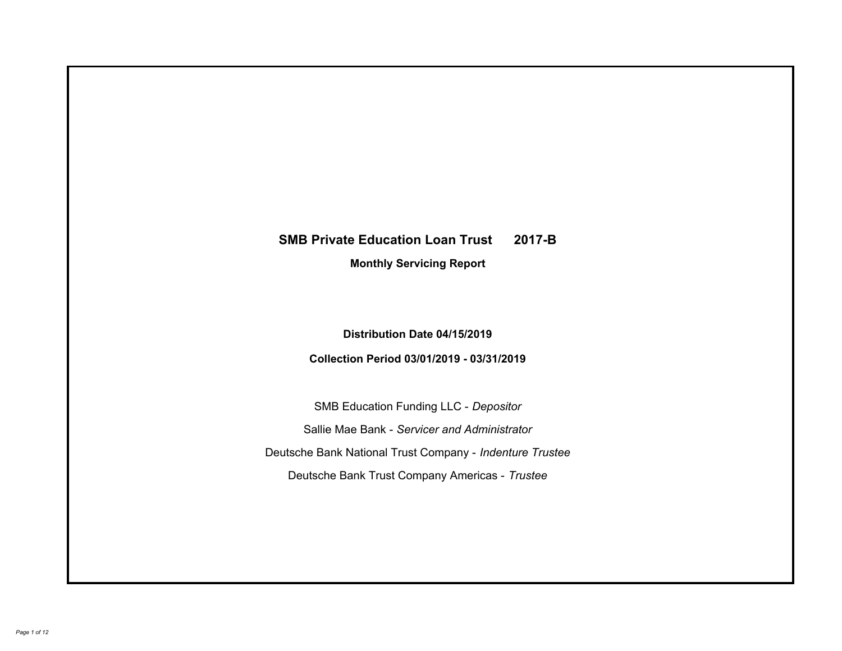# **SMB Private Education Loan Trust 2017-B Monthly Servicing Report**

## **Distribution Date 04/15/2019**

## **Collection Period 03/01/2019 - 03/31/2019**

SMB Education Funding LLC - *Depositor* Sallie Mae Bank - *Servicer and Administrator* Deutsche Bank National Trust Company - *Indenture Trustee* Deutsche Bank Trust Company Americas - *Trustee*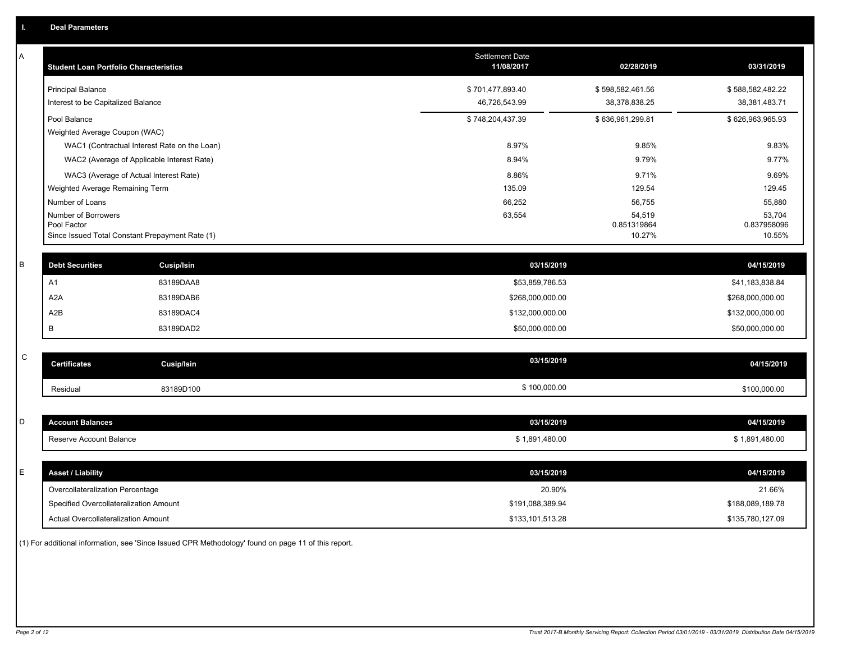| Α | <b>Student Loan Portfolio Characteristics</b>                  |                                              | <b>Settlement Date</b><br>11/08/2017 | 02/28/2019            | 03/31/2019            |
|---|----------------------------------------------------------------|----------------------------------------------|--------------------------------------|-----------------------|-----------------------|
|   | <b>Principal Balance</b>                                       |                                              | \$701,477,893.40                     | \$598,582,461.56      | \$588,582,482.22      |
|   | Interest to be Capitalized Balance                             |                                              | 46,726,543.99                        | 38,378,838.25         | 38,381,483.71         |
|   | Pool Balance                                                   |                                              | \$748,204,437.39                     | \$636,961,299.81      | \$626,963,965.93      |
|   | Weighted Average Coupon (WAC)                                  |                                              |                                      |                       |                       |
|   |                                                                | WAC1 (Contractual Interest Rate on the Loan) | 8.97%                                | 9.85%                 | 9.83%                 |
|   | WAC2 (Average of Applicable Interest Rate)                     |                                              | 8.94%                                | 9.79%                 | 9.77%                 |
|   | WAC3 (Average of Actual Interest Rate)                         |                                              | 8.86%                                | 9.71%                 | 9.69%                 |
|   | Weighted Average Remaining Term                                |                                              | 135.09                               | 129.54                | 129.45                |
|   | Number of Loans                                                |                                              | 66,252                               | 56,755                | 55,880                |
|   | Number of Borrowers                                            |                                              | 63,554                               | 54,519                | 53,704                |
|   | Pool Factor<br>Since Issued Total Constant Prepayment Rate (1) |                                              |                                      | 0.851319864<br>10.27% | 0.837958096<br>10.55% |
|   |                                                                |                                              |                                      |                       |                       |
| B | <b>Debt Securities</b>                                         | Cusip/Isin                                   | 03/15/2019                           |                       | 04/15/2019            |
|   | A <sub>1</sub>                                                 | 83189DAA8                                    | \$53,859,786.53                      |                       | \$41,183,838.84       |
|   | A <sub>2</sub> A                                               | 83189DAB6                                    | \$268,000,000.00                     |                       | \$268,000,000.00      |
|   | A <sub>2</sub> B                                               | 83189DAC4                                    | \$132,000,000.00                     |                       | \$132,000,000.00      |
|   | B                                                              | 83189DAD2                                    | \$50,000,000.00                      |                       | \$50,000,000.00       |
|   |                                                                |                                              |                                      |                       |                       |
| C | <b>Certificates</b>                                            | <b>Cusip/Isin</b>                            | 03/15/2019                           |                       | 04/15/2019            |
|   | Residual                                                       | 83189D100                                    | \$100,000.00                         |                       | \$100,000.00          |
|   |                                                                |                                              |                                      |                       |                       |
| D | <b>Account Balances</b>                                        |                                              | 03/15/2019                           |                       | 04/15/2019            |
|   | Reserve Account Balance                                        |                                              | \$1,891,480.00                       |                       | \$1,891,480.00        |
|   |                                                                |                                              |                                      |                       |                       |
| Е | <b>Asset / Liability</b>                                       |                                              | 03/15/2019                           |                       | 04/15/2019            |
|   | Overcollateralization Percentage                               |                                              | 20.90%                               |                       | 21.66%                |
|   | Specified Overcollateralization Amount                         |                                              | \$191,088,389.94                     |                       | \$188,089,189.78      |
|   | <b>Actual Overcollateralization Amount</b>                     |                                              | \$133,101,513.28                     |                       | \$135,780,127.09      |

(1) For additional information, see 'Since Issued CPR Methodology' found on page 11 of this report.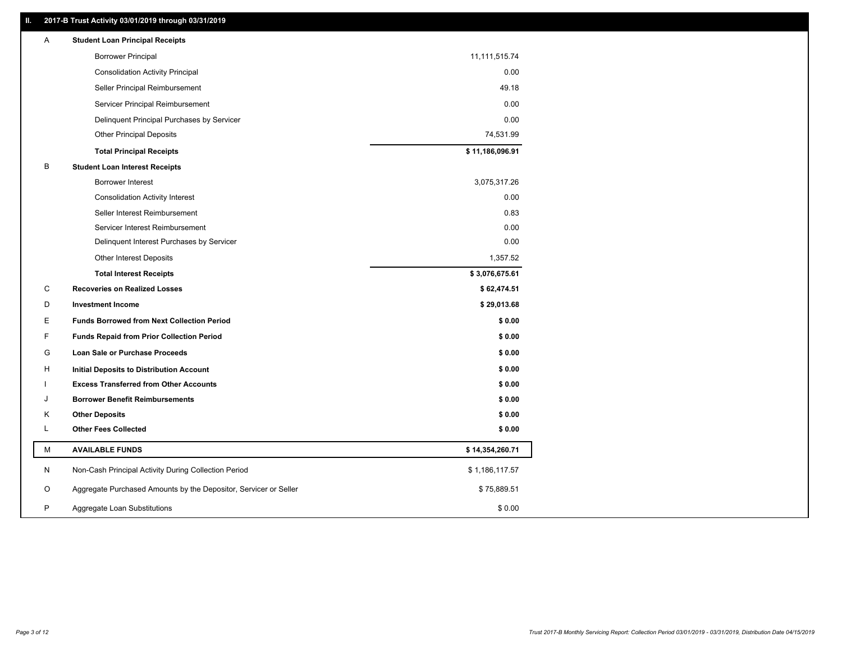### **II. 2017-B Trust Activity 03/01/2019 through 03/31/2019**

| Α  | <b>Student Loan Principal Receipts</b>                           |                 |
|----|------------------------------------------------------------------|-----------------|
|    | <b>Borrower Principal</b>                                        | 11,111,515.74   |
|    | <b>Consolidation Activity Principal</b>                          | 0.00            |
|    | Seller Principal Reimbursement                                   | 49.18           |
|    | Servicer Principal Reimbursement                                 | 0.00            |
|    | Delinquent Principal Purchases by Servicer                       | 0.00            |
|    | <b>Other Principal Deposits</b>                                  | 74,531.99       |
|    | <b>Total Principal Receipts</b>                                  | \$11,186,096.91 |
| B  | <b>Student Loan Interest Receipts</b>                            |                 |
|    | <b>Borrower Interest</b>                                         | 3,075,317.26    |
|    | <b>Consolidation Activity Interest</b>                           | 0.00            |
|    | Seller Interest Reimbursement                                    | 0.83            |
|    | Servicer Interest Reimbursement                                  | 0.00            |
|    | Delinquent Interest Purchases by Servicer                        | 0.00            |
|    | Other Interest Deposits                                          | 1,357.52        |
|    | <b>Total Interest Receipts</b>                                   | \$3,076,675.61  |
| C  | <b>Recoveries on Realized Losses</b>                             | \$62,474.51     |
| D  | <b>Investment Income</b>                                         | \$29,013.68     |
| E. | <b>Funds Borrowed from Next Collection Period</b>                | \$0.00          |
| F  | <b>Funds Repaid from Prior Collection Period</b>                 | \$0.00          |
| G  | Loan Sale or Purchase Proceeds                                   | \$0.00          |
| H  | Initial Deposits to Distribution Account                         | \$0.00          |
|    | <b>Excess Transferred from Other Accounts</b>                    | \$0.00          |
| J  | <b>Borrower Benefit Reimbursements</b>                           | \$0.00          |
| Κ  | <b>Other Deposits</b>                                            | \$0.00          |
| Г  | <b>Other Fees Collected</b>                                      | \$0.00          |
| М  | <b>AVAILABLE FUNDS</b>                                           | \$14,354,260.71 |
| N  | Non-Cash Principal Activity During Collection Period             | \$1,186,117.57  |
| O  | Aggregate Purchased Amounts by the Depositor, Servicer or Seller | \$75,889.51     |
| P  | Aggregate Loan Substitutions                                     | \$0.00          |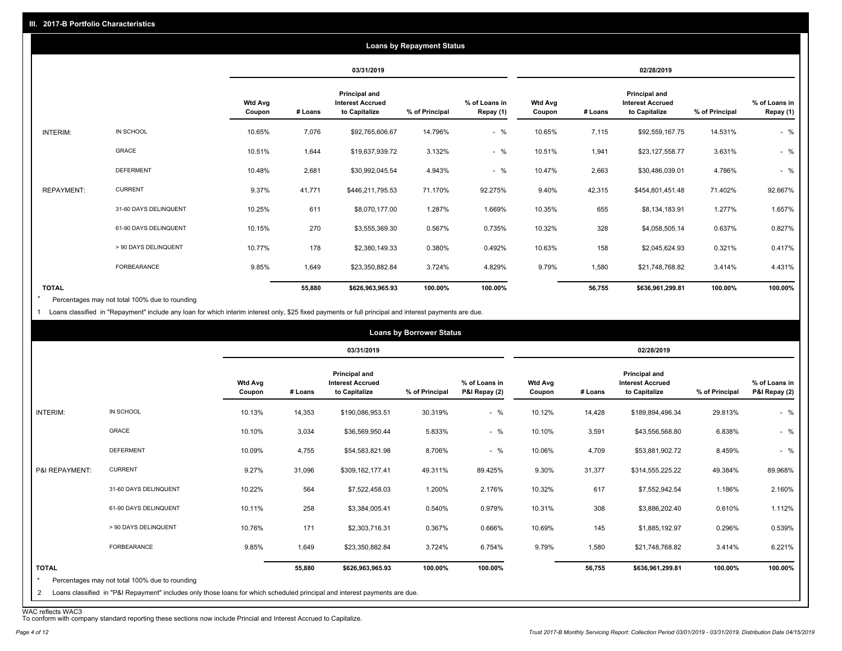|                   |                       |                          |         |                                                           | <b>Loans by Repayment Status</b> |                            |                          |         |                                                           |                |                            |
|-------------------|-----------------------|--------------------------|---------|-----------------------------------------------------------|----------------------------------|----------------------------|--------------------------|---------|-----------------------------------------------------------|----------------|----------------------------|
|                   |                       |                          |         | 03/31/2019                                                |                                  |                            |                          |         | 02/28/2019                                                |                |                            |
|                   |                       | <b>Wtd Avg</b><br>Coupon | # Loans | Principal and<br><b>Interest Accrued</b><br>to Capitalize | % of Principal                   | % of Loans in<br>Repay (1) | <b>Wtd Avg</b><br>Coupon | # Loans | Principal and<br><b>Interest Accrued</b><br>to Capitalize | % of Principal | % of Loans in<br>Repay (1) |
| INTERIM:          | IN SCHOOL             | 10.65%                   | 7,076   | \$92,765,606.67                                           | 14.796%                          | $-$ %                      | 10.65%                   | 7,115   | \$92,559,167.75                                           | 14.531%        | $-$ %                      |
|                   | GRACE                 | 10.51%                   | 1,644   | \$19,637,939.72                                           | 3.132%                           | $-$ %                      | 10.51%                   | 1,941   | \$23,127,558.77                                           | 3.631%         | $-$ %                      |
|                   | <b>DEFERMENT</b>      | 10.48%                   | 2,681   | \$30,992,045.54                                           | 4.943%                           | $-$ %                      | 10.47%                   | 2,663   | \$30,486,039.01                                           | 4.786%         | $-$ %                      |
| <b>REPAYMENT:</b> | <b>CURRENT</b>        | 9.37%                    | 41,771  | \$446,211,795.53                                          | 71.170%                          | 92.275%                    | 9.40%                    | 42,315  | \$454,801,451.48                                          | 71.402%        | 92.667%                    |
|                   | 31-60 DAYS DELINQUENT | 10.25%                   | 611     | \$8,070,177.00                                            | 1.287%                           | 1.669%                     | 10.35%                   | 655     | \$8,134,183.91                                            | 1.277%         | 1.657%                     |
|                   | 61-90 DAYS DELINQUENT | 10.15%                   | 270     | \$3,555,369.30                                            | 0.567%                           | 0.735%                     | 10.32%                   | 328     | \$4,058,505.14                                            | 0.637%         | 0.827%                     |
|                   | > 90 DAYS DELINQUENT  | 10.77%                   | 178     | \$2,380,149.33                                            | 0.380%                           | 0.492%                     | 10.63%                   | 158     | \$2,045,624.93                                            | 0.321%         | 0.417%                     |
|                   | FORBEARANCE           | 9.85%                    | 1,649   | \$23,350,882.84                                           | 3.724%                           | 4.829%                     | 9.79%                    | 1,580   | \$21,748,768.82                                           | 3.414%         | 4.431%                     |
| <b>TOTAL</b>      |                       |                          | 55,880  | \$626,963,965.93                                          | 100.00%                          | 100.00%                    |                          | 56,755  | \$636,961,299.81                                          | 100.00%        | 100.00%                    |

Percentages may not total 100% due to rounding \*

1 Loans classified in "Repayment" include any loan for which interim interest only, \$25 fixed payments or full principal and interest payments are due.

| INTERIM:                |                                                | <b>Wtd Avg</b><br>Coupon |         | 03/31/2019<br><b>Principal and</b>       |                |                                |                          |         | 02/28/2019                                                       |                |                                |
|-------------------------|------------------------------------------------|--------------------------|---------|------------------------------------------|----------------|--------------------------------|--------------------------|---------|------------------------------------------------------------------|----------------|--------------------------------|
|                         |                                                |                          | # Loans | <b>Interest Accrued</b><br>to Capitalize | % of Principal | % of Loans in<br>P&I Repay (2) | <b>Wtd Avg</b><br>Coupon | # Loans | <b>Principal and</b><br><b>Interest Accrued</b><br>to Capitalize | % of Principal | % of Loans in<br>P&I Repay (2) |
|                         | IN SCHOOL                                      | 10.13%                   | 14,353  | \$190,086,953.51                         | 30.319%        | $-$ %                          | 10.12%                   | 14,428  | \$189,894,496.34                                                 | 29.813%        | $-$ %                          |
|                         | <b>GRACE</b>                                   | 10.10%                   | 3,034   | \$36,569,950.44                          | 5.833%         | $-$ %                          | 10.10%                   | 3,591   | \$43,556,568.80                                                  | 6.838%         | $-$ %                          |
|                         | <b>DEFERMENT</b>                               | 10.09%                   | 4,755   | \$54,583,821.98                          | 8.706%         | $-$ %                          | 10.06%                   | 4,709   | \$53,881,902.72                                                  | 8.459%         | $-$ %                          |
| P&I REPAYMENT:          | <b>CURRENT</b>                                 | 9.27%                    | 31,096  | \$309,162,177.41                         | 49.311%        | 89.425%                        | 9.30%                    | 31,377  | \$314,555,225.22                                                 | 49.384%        | 89.968%                        |
|                         | 31-60 DAYS DELINQUENT                          | 10.22%                   | 564     | \$7,522,458.03                           | 1.200%         | 2.176%                         | 10.32%                   | 617     | \$7,552,942.54                                                   | 1.186%         | 2.160%                         |
|                         | 61-90 DAYS DELINQUENT                          | 10.11%                   | 258     | \$3,384,005.41                           | 0.540%         | 0.979%                         | 10.31%                   | 308     | \$3,886,202.40                                                   | 0.610%         | 1.112%                         |
|                         | > 90 DAYS DELINQUENT                           | 10.76%                   | 171     | \$2,303,716.31                           | 0.367%         | 0.666%                         | 10.69%                   | 145     | \$1,885,192.97                                                   | 0.296%         | 0.539%                         |
|                         | FORBEARANCE                                    | 9.85%                    | 1,649   | \$23,350,882.84                          | 3.724%         | 6.754%                         | 9.79%                    | 1,580   | \$21,748,768.82                                                  | 3.414%         | 6.221%                         |
| <b>TOTAL</b><br>$\star$ | Percentages may not total 100% due to rounding |                          | 55,880  | \$626,963,965.93                         | 100.00%        | 100.00%                        |                          | 56,755  | \$636,961,299.81                                                 | 100.00%        | 100.00%                        |

WAC reflects WAC3 To conform with company standard reporting these sections now include Princial and Interest Accrued to Capitalize.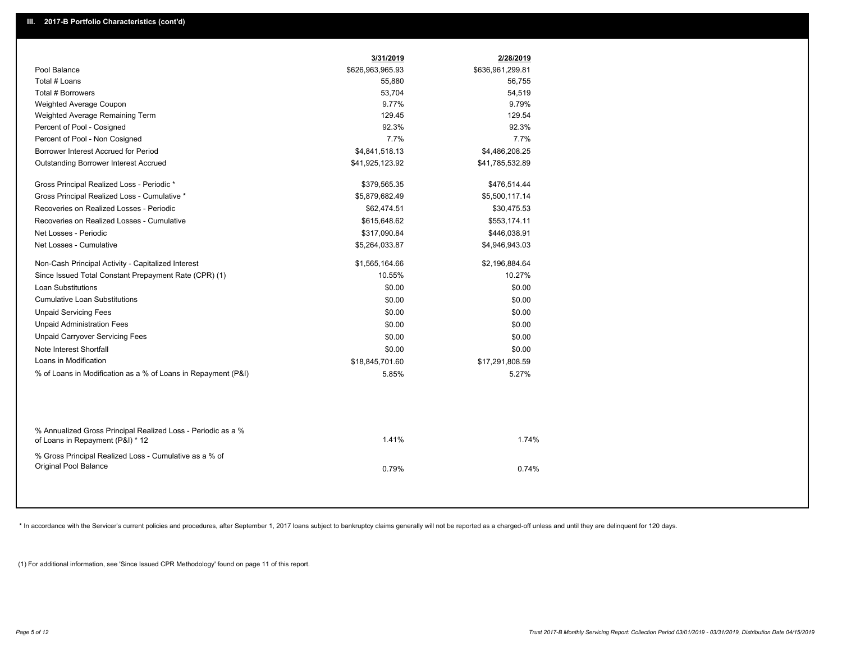|                                                                                                  | 3/31/2019        | 2/28/2019        |
|--------------------------------------------------------------------------------------------------|------------------|------------------|
| Pool Balance                                                                                     | \$626,963,965.93 | \$636,961,299.81 |
| Total # Loans                                                                                    | 55,880           | 56,755           |
| Total # Borrowers                                                                                | 53,704           | 54,519           |
| Weighted Average Coupon                                                                          | 9.77%            | 9.79%            |
| Weighted Average Remaining Term                                                                  | 129.45           | 129.54           |
| Percent of Pool - Cosigned                                                                       | 92.3%            | 92.3%            |
| Percent of Pool - Non Cosigned                                                                   | 7.7%             | 7.7%             |
| Borrower Interest Accrued for Period                                                             | \$4,841,518.13   | \$4,486,208.25   |
| Outstanding Borrower Interest Accrued                                                            | \$41,925,123.92  | \$41,785,532.89  |
| Gross Principal Realized Loss - Periodic *                                                       | \$379,565.35     | \$476,514.44     |
| Gross Principal Realized Loss - Cumulative *                                                     | \$5,879,682.49   | \$5,500,117.14   |
| Recoveries on Realized Losses - Periodic                                                         | \$62,474.51      | \$30,475.53      |
| Recoveries on Realized Losses - Cumulative                                                       | \$615,648.62     | \$553,174.11     |
| Net Losses - Periodic                                                                            | \$317,090.84     | \$446,038.91     |
| Net Losses - Cumulative                                                                          | \$5,264,033.87   | \$4,946,943.03   |
| Non-Cash Principal Activity - Capitalized Interest                                               | \$1,565,164.66   | \$2,196,884.64   |
| Since Issued Total Constant Prepayment Rate (CPR) (1)                                            | 10.55%           | 10.27%           |
| <b>Loan Substitutions</b>                                                                        | \$0.00           | \$0.00           |
| <b>Cumulative Loan Substitutions</b>                                                             | \$0.00           | \$0.00           |
| <b>Unpaid Servicing Fees</b>                                                                     | \$0.00           | \$0.00           |
| <b>Unpaid Administration Fees</b>                                                                | \$0.00           | \$0.00           |
| <b>Unpaid Carryover Servicing Fees</b>                                                           | \$0.00           | \$0.00           |
| Note Interest Shortfall                                                                          | \$0.00           | \$0.00           |
| Loans in Modification                                                                            | \$18,845,701.60  | \$17,291,808.59  |
| % of Loans in Modification as a % of Loans in Repayment (P&I)                                    | 5.85%            | 5.27%            |
|                                                                                                  |                  |                  |
| % Annualized Gross Principal Realized Loss - Periodic as a %<br>of Loans in Repayment (P&I) * 12 | 1.41%            | 1.74%            |
| % Gross Principal Realized Loss - Cumulative as a % of<br>Original Pool Balance                  | 0.79%            | 0.74%            |

\* In accordance with the Servicer's current policies and procedures, after September 1, 2017 loans subject to bankruptcy claims generally will not be reported as a charged-off unless and until they are delinquent for 120 d

(1) For additional information, see 'Since Issued CPR Methodology' found on page 11 of this report.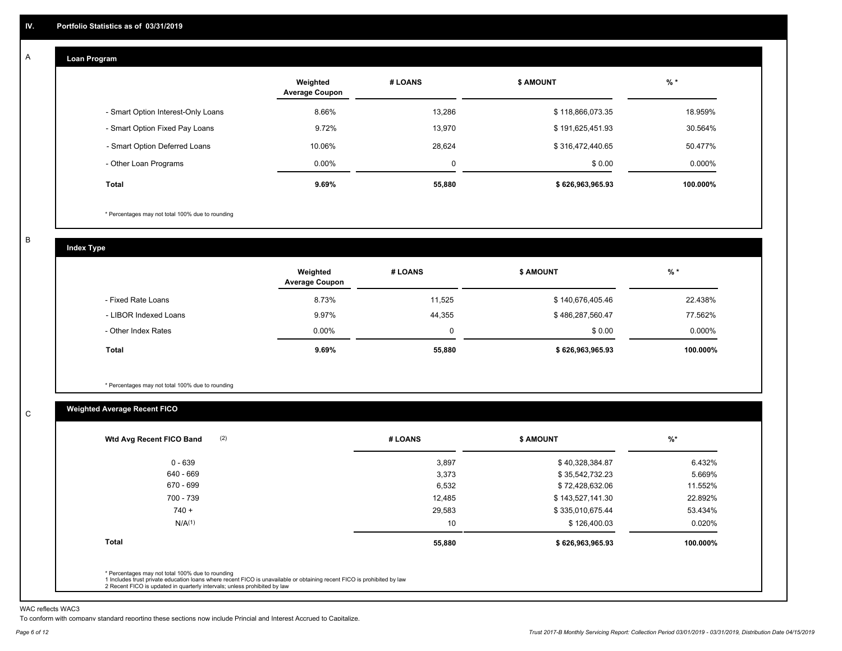#### **Loan Program**  A

|                                    | Weighted<br><b>Average Coupon</b> | # LOANS | <b>\$ AMOUNT</b> | $%$ *    |
|------------------------------------|-----------------------------------|---------|------------------|----------|
| - Smart Option Interest-Only Loans | 8.66%                             | 13,286  | \$118,866,073.35 | 18.959%  |
| - Smart Option Fixed Pay Loans     | 9.72%                             | 13,970  | \$191,625,451.93 | 30.564%  |
| - Smart Option Deferred Loans      | 10.06%                            | 28.624  | \$316,472,440.65 | 50.477%  |
| - Other Loan Programs              | $0.00\%$                          | 0       | \$0.00           | 0.000%   |
| <b>Total</b>                       | $9.69\%$                          | 55,880  | \$626,963,965.93 | 100.000% |

\* Percentages may not total 100% due to rounding

B

C

**Index Type**

|                       | Weighted<br><b>Average Coupon</b> | # LOANS | <b>\$ AMOUNT</b> | $%$ *     |
|-----------------------|-----------------------------------|---------|------------------|-----------|
| - Fixed Rate Loans    | 8.73%                             | 11,525  | \$140,676,405.46 | 22.438%   |
| - LIBOR Indexed Loans | 9.97%                             | 44,355  | \$486,287,560.47 | 77.562%   |
| - Other Index Rates   | $0.00\%$                          |         | \$0.00           | $0.000\%$ |
| Total                 | 9.69%                             | 55,880  | \$626,963,965.93 | 100.000%  |

\* Percentages may not total 100% due to rounding

### **Weighted Average Recent FICO**

|              | # LOANS | <b>S AMOUNT</b>  | $%$ *    |
|--------------|---------|------------------|----------|
| $0 - 639$    | 3,897   | \$40,328,384.87  | 6.432%   |
| 640 - 669    | 3,373   | \$35,542,732.23  | 5.669%   |
| 670 - 699    | 6,532   | \$72,428,632.06  | 11.552%  |
| 700 - 739    | 12,485  | \$143,527,141.30 | 22.892%  |
| $740 +$      | 29,583  | \$335,010,675.44 | 53.434%  |
| N/A(1)       | 10      | \$126,400.03     | 0.020%   |
| <b>Total</b> | 55,880  | \$626,963,965.93 | 100.000% |

WAC reflects WAC3

To conform with company standard reporting these sections now include Princial and Interest Accrued to Capitalize.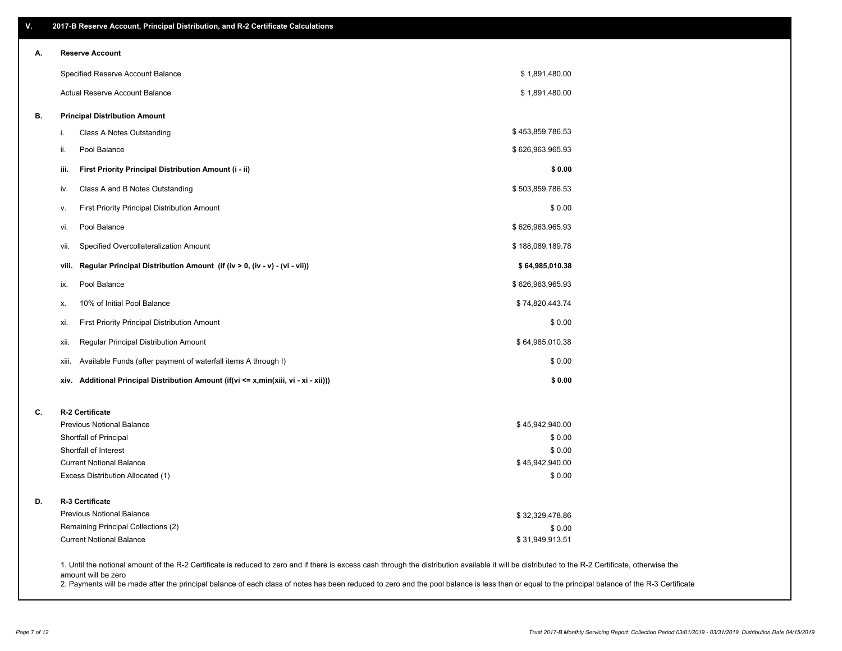| V. | 2017-B Reserve Account, Principal Distribution, and R-2 Certificate Calculations                                                                                                                   |                           |  |
|----|----------------------------------------------------------------------------------------------------------------------------------------------------------------------------------------------------|---------------------------|--|
| А. | <b>Reserve Account</b>                                                                                                                                                                             |                           |  |
|    | Specified Reserve Account Balance                                                                                                                                                                  | \$1,891,480.00            |  |
|    | Actual Reserve Account Balance                                                                                                                                                                     | \$1,891,480.00            |  |
| В. | <b>Principal Distribution Amount</b>                                                                                                                                                               |                           |  |
|    | Class A Notes Outstanding<br>i.                                                                                                                                                                    | \$453,859,786.53          |  |
|    | Pool Balance<br>ii.                                                                                                                                                                                | \$626,963,965.93          |  |
|    | iii.<br>First Priority Principal Distribution Amount (i - ii)                                                                                                                                      | \$0.00                    |  |
|    | Class A and B Notes Outstanding<br>iv.                                                                                                                                                             | \$503,859,786.53          |  |
|    | <b>First Priority Principal Distribution Amount</b><br>۷.                                                                                                                                          | \$0.00                    |  |
|    | Pool Balance<br>vi.                                                                                                                                                                                | \$626,963,965.93          |  |
|    | Specified Overcollateralization Amount<br>vii.                                                                                                                                                     | \$188,089,189.78          |  |
|    | Regular Principal Distribution Amount (if (iv > 0, (iv - v) - (vi - vii))<br>viii.                                                                                                                 | \$64,985,010.38           |  |
|    | Pool Balance<br>ix.                                                                                                                                                                                | \$626,963,965.93          |  |
|    | 10% of Initial Pool Balance<br>х.                                                                                                                                                                  | \$74,820,443.74           |  |
|    | First Priority Principal Distribution Amount<br>xi.                                                                                                                                                | \$0.00                    |  |
|    | Regular Principal Distribution Amount<br>xii.                                                                                                                                                      | \$64,985,010.38           |  |
|    | Available Funds (after payment of waterfall items A through I)<br>xiii.                                                                                                                            | \$0.00                    |  |
|    | Additional Principal Distribution Amount (if(vi <= x,min(xiii, vi - xi - xii)))<br>xiv.                                                                                                            | \$0.00                    |  |
| C. | R-2 Certificate                                                                                                                                                                                    |                           |  |
|    | <b>Previous Notional Balance</b>                                                                                                                                                                   | \$45,942,940.00           |  |
|    | Shortfall of Principal                                                                                                                                                                             | \$0.00                    |  |
|    | Shortfall of Interest                                                                                                                                                                              | \$0.00                    |  |
|    | <b>Current Notional Balance</b><br>Excess Distribution Allocated (1)                                                                                                                               | \$45,942,940.00<br>\$0.00 |  |
| D. | R-3 Certificate                                                                                                                                                                                    |                           |  |
|    | <b>Previous Notional Balance</b>                                                                                                                                                                   | \$32,329,478.86           |  |
|    | Remaining Principal Collections (2)                                                                                                                                                                | \$0.00                    |  |
|    | <b>Current Notional Balance</b>                                                                                                                                                                    | \$31,949,913.51           |  |
|    | 1. Until the notional amount of the R-2 Certificate is reduced to zero and if there is excess cash through the distribution available it will be distributed to the R-2 Certificate, otherwise the |                           |  |

amount will be zero

2. Payments will be made after the principal balance of each class of notes has been reduced to zero and the pool balance is less than or equal to the principal balance of the R-3 Certificate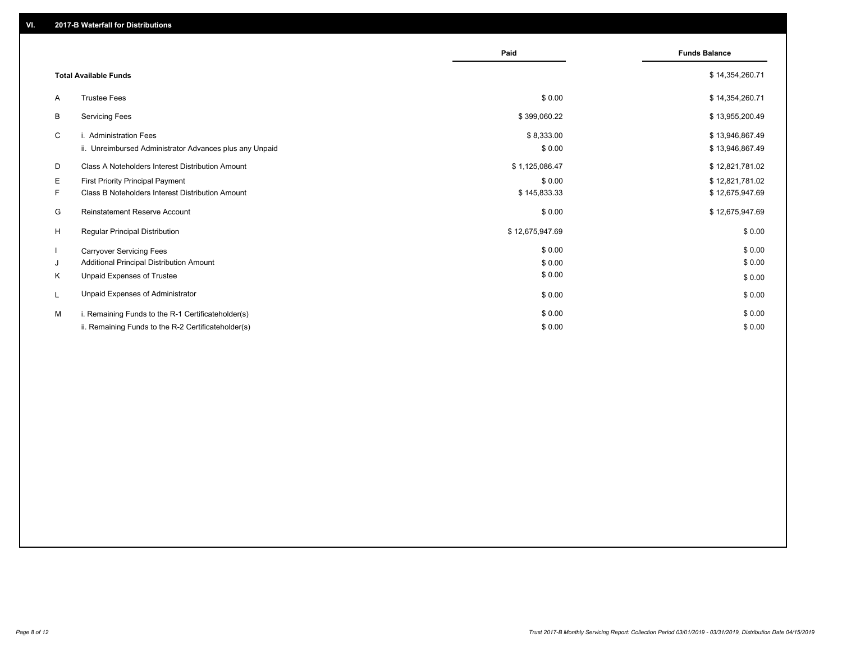|    |                                                         | Paid            | <b>Funds Balance</b> |
|----|---------------------------------------------------------|-----------------|----------------------|
|    | <b>Total Available Funds</b>                            |                 | \$14,354,260.71      |
| A  | <b>Trustee Fees</b>                                     | \$0.00          | \$14,354,260.71      |
| В  | <b>Servicing Fees</b>                                   | \$399,060.22    | \$13,955,200.49      |
| C  | i. Administration Fees                                  | \$8,333.00      | \$13,946,867.49      |
|    | ii. Unreimbursed Administrator Advances plus any Unpaid | \$0.00          | \$13,946,867.49      |
| D  | Class A Noteholders Interest Distribution Amount        | \$1,125,086.47  | \$12,821,781.02      |
| Е  | First Priority Principal Payment                        | \$0.00          | \$12,821,781.02      |
| F. | Class B Noteholders Interest Distribution Amount        | \$145,833.33    | \$12,675,947.69      |
| G  | <b>Reinstatement Reserve Account</b>                    | \$0.00          | \$12,675,947.69      |
| H  | Regular Principal Distribution                          | \$12,675,947.69 | \$0.00               |
|    | <b>Carryover Servicing Fees</b>                         | \$0.00          | \$0.00               |
| J  | Additional Principal Distribution Amount                | \$0.00          | \$0.00               |
| Κ  | Unpaid Expenses of Trustee                              | \$0.00          | \$0.00               |
| L  | Unpaid Expenses of Administrator                        | \$0.00          | \$0.00               |
| м  | i. Remaining Funds to the R-1 Certificateholder(s)      | \$0.00          | \$0.00               |
|    | ii. Remaining Funds to the R-2 Certificateholder(s)     | \$0.00          | \$0.00               |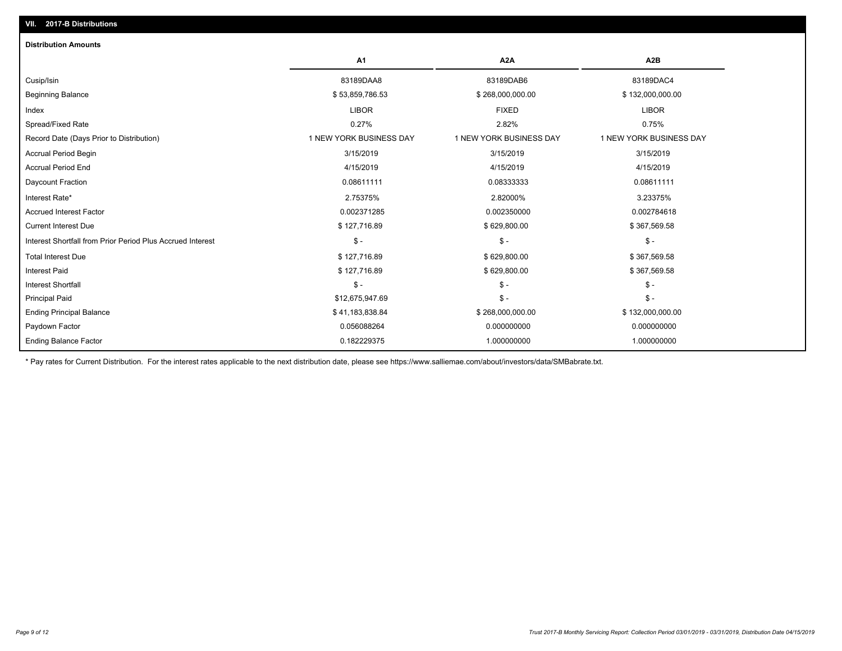| A <sub>2</sub> A<br>A <sub>1</sub>                                                               | A <sub>2</sub> B        |
|--------------------------------------------------------------------------------------------------|-------------------------|
| 83189DAA8<br>83189DAB6<br>Cusip/Isin                                                             | 83189DAC4               |
| <b>Beginning Balance</b><br>\$53,859,786.53<br>\$268,000,000.00                                  | \$132,000,000.00        |
| <b>LIBOR</b><br><b>FIXED</b><br>Index                                                            | <b>LIBOR</b>            |
| Spread/Fixed Rate<br>0.27%<br>2.82%                                                              | 0.75%                   |
| Record Date (Days Prior to Distribution)<br>1 NEW YORK BUSINESS DAY<br>1 NEW YORK BUSINESS DAY   | 1 NEW YORK BUSINESS DAY |
| 3/15/2019<br>3/15/2019<br><b>Accrual Period Begin</b>                                            | 3/15/2019               |
| <b>Accrual Period End</b><br>4/15/2019<br>4/15/2019                                              | 4/15/2019               |
| 0.08611111<br>Daycount Fraction<br>0.08333333                                                    | 0.08611111              |
| Interest Rate*<br>2.75375%<br>2.82000%                                                           | 3.23375%                |
| <b>Accrued Interest Factor</b><br>0.002371285<br>0.002350000                                     | 0.002784618             |
| <b>Current Interest Due</b><br>\$127,716.89<br>\$629,800.00                                      | \$367,569.58            |
| $\mathsf{\$}$ -<br>$\mathcal{S}$ -<br>Interest Shortfall from Prior Period Plus Accrued Interest | $\mathcal{S}$ -         |
| <b>Total Interest Due</b><br>\$127,716.89<br>\$629,800.00                                        | \$367,569.58            |
| <b>Interest Paid</b><br>\$127,716.89<br>\$629,800.00                                             | \$367,569.58            |
| $$ -$<br>$$ -$<br>Interest Shortfall                                                             | $$ -$                   |
| \$12,675,947.69<br>$$ -$<br><b>Principal Paid</b>                                                | $$ -$                   |
| <b>Ending Principal Balance</b><br>\$41,183,838.84<br>\$268,000,000.00                           | \$132,000,000.00        |
| Paydown Factor<br>0.056088264<br>0.000000000                                                     | 0.000000000             |
| <b>Ending Balance Factor</b><br>0.182229375<br>1.000000000                                       | 1.000000000             |

\* Pay rates for Current Distribution. For the interest rates applicable to the next distribution date, please see https://www.salliemae.com/about/investors/data/SMBabrate.txt.

**VII. 2017-B Distributions**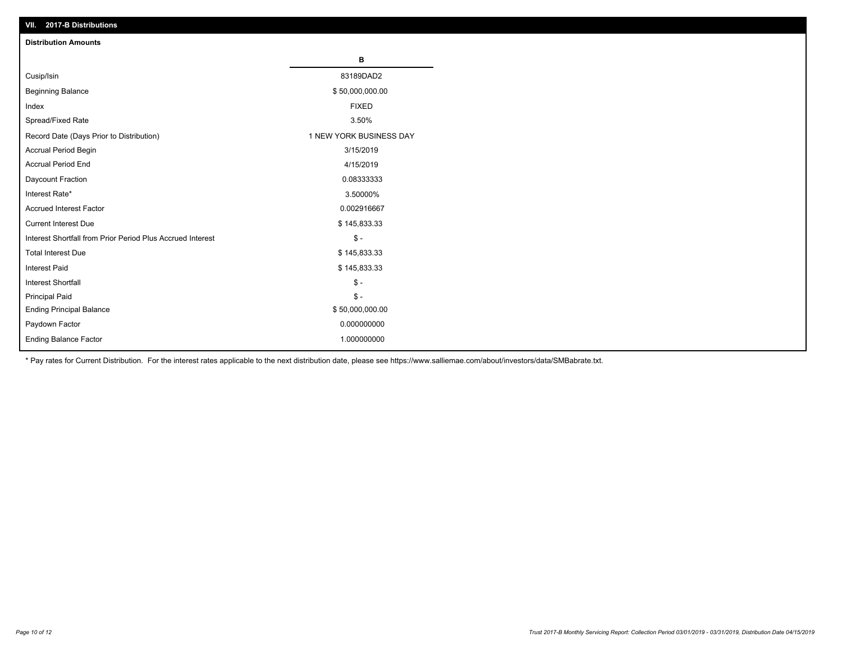| VII. 2017-B Distributions                                  |                         |
|------------------------------------------------------------|-------------------------|
| <b>Distribution Amounts</b>                                |                         |
|                                                            | в                       |
| Cusip/Isin                                                 | 83189DAD2               |
| <b>Beginning Balance</b>                                   | \$50,000,000.00         |
| Index                                                      | <b>FIXED</b>            |
| Spread/Fixed Rate                                          | 3.50%                   |
| Record Date (Days Prior to Distribution)                   | 1 NEW YORK BUSINESS DAY |
| Accrual Period Begin                                       | 3/15/2019               |
| <b>Accrual Period End</b>                                  | 4/15/2019               |
| Daycount Fraction                                          | 0.08333333              |
| Interest Rate*                                             | 3.50000%                |
| <b>Accrued Interest Factor</b>                             | 0.002916667             |
| <b>Current Interest Due</b>                                | \$145,833.33            |
| Interest Shortfall from Prior Period Plus Accrued Interest | $$ -$                   |
| <b>Total Interest Due</b>                                  | \$145,833.33            |
| Interest Paid                                              | \$145,833.33            |
| Interest Shortfall                                         | $\frac{1}{2}$           |
| <b>Principal Paid</b>                                      | $$ -$                   |
| <b>Ending Principal Balance</b>                            | \$50,000,000.00         |
| Paydown Factor                                             | 0.000000000             |
| Ending Balance Factor                                      | 1.000000000             |

\* Pay rates for Current Distribution. For the interest rates applicable to the next distribution date, please see https://www.salliemae.com/about/investors/data/SMBabrate.txt.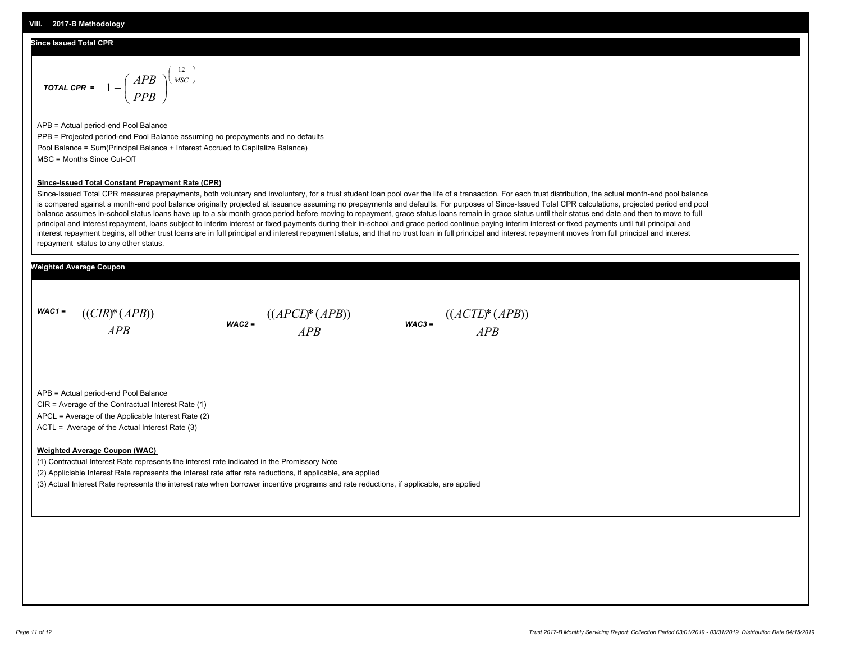#### **Since Issued Total CPR**

$$
\text{total CPR} = 1 - \left(\frac{APB}{PPB}\right)^{\left(\frac{12}{MSC}\right)}
$$

APB = Actual period-end Pool Balance PPB = Projected period-end Pool Balance assuming no prepayments and no defaults Pool Balance = Sum(Principal Balance + Interest Accrued to Capitalize Balance) MSC = Months Since Cut-Off

#### **Since-Issued Total Constant Prepayment Rate (CPR)**

Since-Issued Total CPR measures prepayments, both voluntary and involuntary, for a trust student loan pool over the life of a transaction. For each trust distribution, the actual month-end pool balance is compared against a month-end pool balance originally projected at issuance assuming no prepayments and defaults. For purposes of Since-Issued Total CPR calculations, projected period end pool balance assumes in-school status loans have up to a six month grace period before moving to repayment, grace status loans remain in grace status until their status end date and then to move to full principal and interest repayment, loans subject to interim interest or fixed payments during their in-school and grace period continue paying interim interest or fixed payments until full principal and interest repayment begins, all other trust loans are in full principal and interest repayment status, and that no trust loan in full principal and interest repayment moves from full principal and interest repayment status to any other status.

#### **Weighted Average Coupon**

*WAC1 = APB* ((*CIR*)\*(*APB*))

*WAC2 = APB*



APB = Actual period-end Pool Balance

CIR = Average of the Contractual Interest Rate (1)

APCL = Average of the Applicable Interest Rate (2)

ACTL = Average of the Actual Interest Rate (3)

#### **Weighted Average Coupon (WAC)**

(1) Contractual Interest Rate represents the interest rate indicated in the Promissory Note

(2) Appliclable Interest Rate represents the interest rate after rate reductions, if applicable, are applied

(3) Actual Interest Rate represents the interest rate when borrower incentive programs and rate reductions, if applicable, are applied